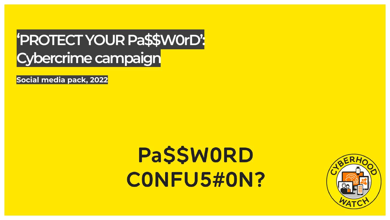# 'PROTECT YOUR Pa\$\$W0rD': Cybercrime campaign

Social media pack, 2022

# **PaSSWORD CONFU5#ON?**

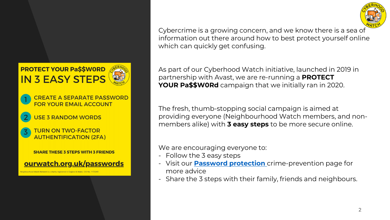

Cybercrime is a growing concern, and we know there is a sea of information out there around how to best protect yourself online which can quickly get confusing.

As part of our Cyberhood Watch initiative, launched in 2019 in partnership with Avast, we are re-running a **PROTECT YOUR Pa\$\$W0Rd** campaign that we initially ran in 2020.

The fresh, thumb-stopping social campaign is aimed at providing everyone (Neighbourhood Watch members, and nonmembers alike) with **3 easy steps** to be more secure online.

We are encouraging everyone to:

- Follow the 3 easy steps
- Visit our **[Password protection](https://www.ourwatch.org.uk/passwords)** crime-prevention page for more advice
- Share the 3 steps with their family, friends and neighbours.

**FOR YOUR EMAIL ACCOUNT USE 3 RANDOM WORDS** 

**PROTECT YOUR Pa\$\$WORD** 

**IN 3 EASY STEPS** 

### **TURN ON TWO-FACTOR AUTHENTIFICATION (2FA)**

**SHARE THESE 3 STEPS WITH 3 FRIENDS** 

**CREATE A SEPARATE PASSWORD** 

ourwatch.org.uk/passwords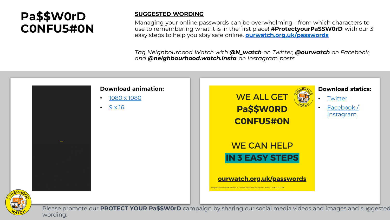### **Pa\$\$W0rD C0NFU5#0N**

### **SUGGESTED WORDING**

Managing your online passwords can be overwhelming - from which characters to use to remembering what it is in the first place! **#ProtectyourPaSSW0rD** with our 3 easy steps to help you stay safe online. **[ourwatch.org.uk/passwords](http://www.ourwatch.org.uk/passwords)**

*Tag Neighbourhood Watch with @N\_watch on Twitter, @ourwatch on Facebook, and @neighbourhood.watch.insta on Instagram posts*



wording.

3 Please promote our **PROTECT YOUR Pa\$\$W0rD** campaign by sharing our social media videos and images and suggested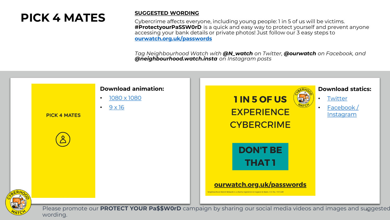## **PICK 4 MATES** SUGGESTED WORDING

Cybercrime affects everyone, including young people: 1 in 5 of us will be victims. **#ProtectyourPaSSW0rD** is a quick and easy way to protect yourself and prevent anyone accessing your bank details or private photos! Just follow our 3 easy steps to **[ourwatch.org.uk/passwords](http://www.ourwatch.org.uk/passwords)**

*Tag Neighbourhood Watch with @N\_watch on Twitter, @ourwatch on Facebook, and @neighbourhood.watch.insta on Instagram posts*